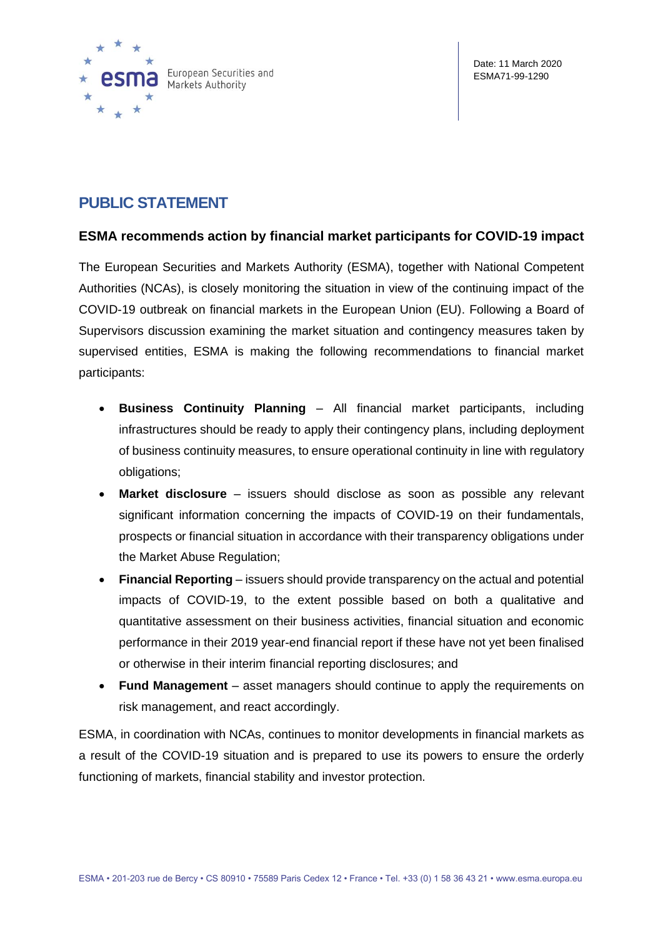

## **PUBLIC STATEMENT**

## **ESMA recommends action by financial market participants for COVID-19 impact**

The European Securities and Markets Authority (ESMA), together with National Competent Authorities (NCAs), is closely monitoring the situation in view of the continuing impact of the COVID-19 outbreak on financial markets in the European Union (EU). Following a Board of Supervisors discussion examining the market situation and contingency measures taken by supervised entities, ESMA is making the following recommendations to financial market participants:

- **Business Continuity Planning**  All financial market participants, including infrastructures should be ready to apply their contingency plans, including deployment of business continuity measures, to ensure operational continuity in line with regulatory obligations;
- **Market disclosure**  issuers should disclose as soon as possible any relevant significant information concerning the impacts of COVID-19 on their fundamentals, prospects or financial situation in accordance with their transparency obligations under the Market Abuse Regulation;
- **Financial Reporting**  issuers should provide transparency on the actual and potential impacts of COVID-19, to the extent possible based on both a qualitative and quantitative assessment on their business activities, financial situation and economic performance in their 2019 year-end financial report if these have not yet been finalised or otherwise in their interim financial reporting disclosures; and
- **Fund Management** asset managers should continue to apply the requirements on risk management, and react accordingly.

ESMA, in coordination with NCAs, continues to monitor developments in financial markets as a result of the COVID-19 situation and is prepared to use its powers to ensure the orderly functioning of markets, financial stability and investor protection.